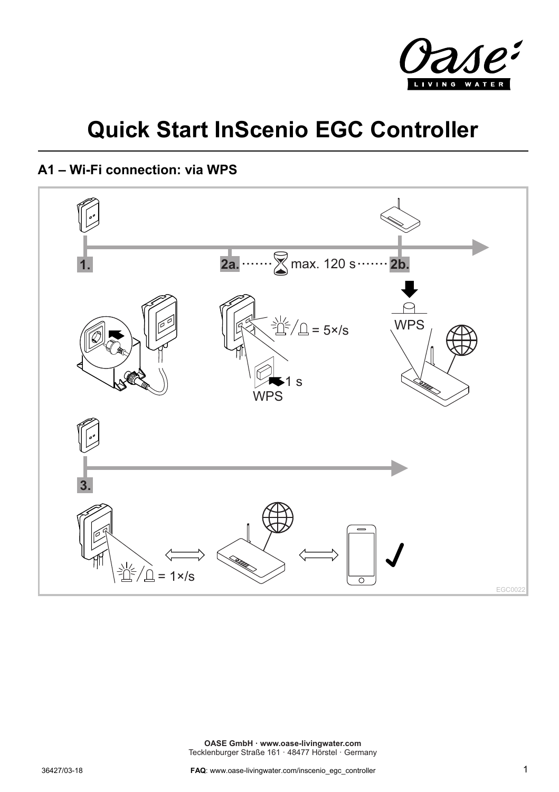

## **Quick Start InScenio EGC Controller**

## **A1 – Wi-Fi connection: via WPS**

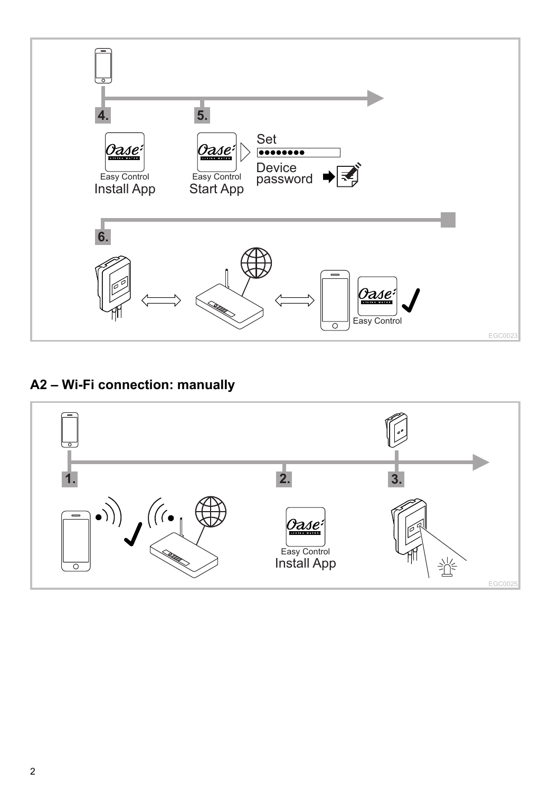

## **A2 – Wi-Fi connection: manually**

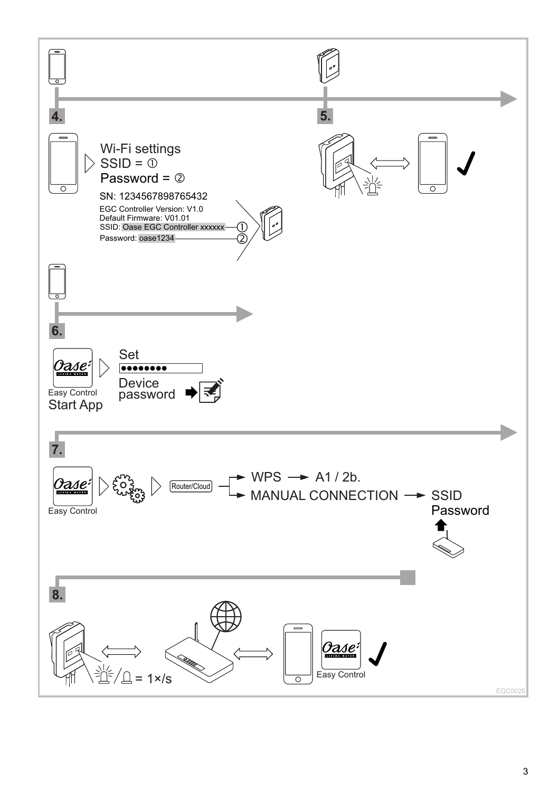